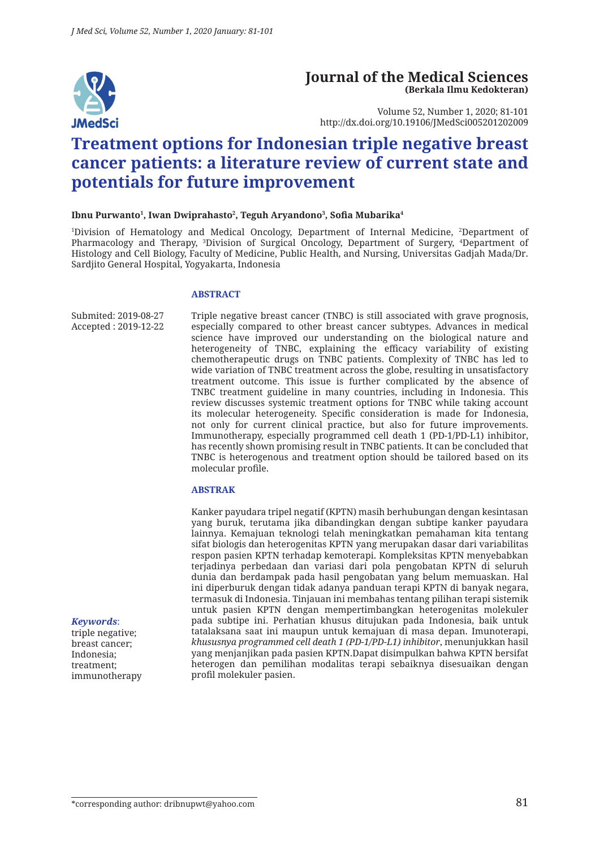

#### **Journal of the Medical Sciences (Berkala Ilmu Kedokteran)**

Volume 52, Number 1, 2020; 81-101 http://dx.doi.org/10.19106/JMedSci005201202009

# **Treatment options for Indonesian triple negative breast cancer patients: a literature review of current state and potentials for future improvement**

#### **Ibnu Purwanto1 , Iwan Dwiprahasto2 , Teguh Aryandono3 , Sofia Mubarika<sup>4</sup>**

1 Division of Hematology and Medical Oncology, Department of Internal Medicine, 2 Department of Pharmacology and Therapy, 3 Division of Surgical Oncology, Department of Surgery, 4 Department of Histology and Cell Biology, Faculty of Medicine, Public Health, and Nursing, Universitas Gadjah Mada/Dr. Sardjito General Hospital, Yogyakarta, Indonesia

#### **ABSTRACT**

Submited: 2019-08-27 Accepted : 2019-12-22 Triple negative breast cancer (TNBC) is still associated with grave prognosis, especially compared to other breast cancer subtypes. Advances in medical science have improved our understanding on the biological nature and heterogeneity of TNBC, explaining the efficacy variability of existing chemotherapeutic drugs on TNBC patients. Complexity of TNBC has led to wide variation of TNBC treatment across the globe, resulting in unsatisfactory treatment outcome. This issue is further complicated by the absence of TNBC treatment guideline in many countries, including in Indonesia. This review discusses systemic treatment options for TNBC while taking account its molecular heterogeneity. Specific consideration is made for Indonesia, not only for current clinical practice, but also for future improvements. Immunotherapy, especially programmed cell death 1 (PD-1/PD-L1) inhibitor, has recently shown promising result in TNBC patients. It can be concluded that TNBC is heterogenous and treatment option should be tailored based on its molecular profile.

#### **ABSTRAK**

Kanker payudara tripel negatif (KPTN) masih berhubungan dengan kesintasan yang buruk, terutama jika dibandingkan dengan subtipe kanker payudara lainnya. Kemajuan teknologi telah meningkatkan pemahaman kita tentang sifat biologis dan heterogenitas KPTN yang merupakan dasar dari variabilitas respon pasien KPTN terhadap kemoterapi. Kompleksitas KPTN menyebabkan terjadinya perbedaan dan variasi dari pola pengobatan KPTN di seluruh dunia dan berdampak pada hasil pengobatan yang belum memuaskan. Hal ini diperburuk dengan tidak adanya panduan terapi KPTN di banyak negara, termasuk di Indonesia. Tinjauan ini membahas tentang pilihan terapi sistemik untuk pasien KPTN dengan mempertimbangkan heterogenitas molekuler pada subtipe ini. Perhatian khusus ditujukan pada Indonesia, baik untuk tatalaksana saat ini maupun untuk kemajuan di masa depan. Imunoterapi, *khususnya programmed cell death 1 (PD-1/PD-L1) inhibitor*, menunjukkan hasil yang menjanjikan pada pasien KPTN.Dapat disimpulkan bahwa KPTN bersifat heterogen dan pemilihan modalitas terapi sebaiknya disesuaikan dengan profil molekuler pasien.

*Keywords*: triple negative; breast cancer; Indonesia; treatment; immunotherapy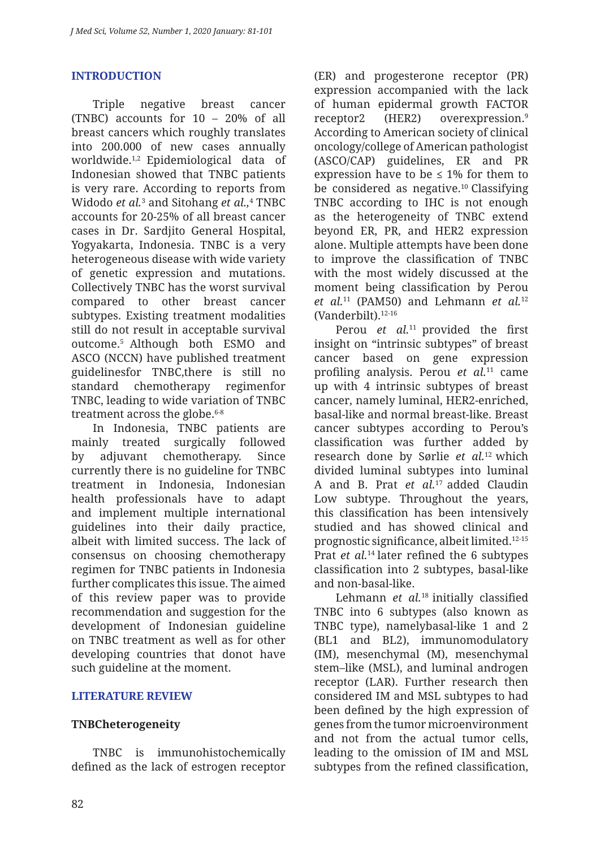### **INTRODUCTION**

Triple negative breast cancer (TNBC) accounts for 10 – 20% of all breast cancers which roughly translates into 200.000 of new cases annually worldwide.1,2 Epidemiological data of Indonesian showed that TNBC patients is very rare. According to reports from Widodo *et al.*<sup>3</sup> and Sitohang *et al.,*<sup>4</sup> TNBC accounts for 20-25% of all breast cancer cases in Dr. Sardjito General Hospital, Yogyakarta, Indonesia. TNBC is a very heterogeneous disease with wide variety of genetic expression and mutations. Collectively TNBC has the worst survival compared to other breast cancer subtypes. Existing treatment modalities still do not result in acceptable survival outcome.5 Although both ESMO and ASCO (NCCN) have published treatment guidelinesfor TNBC,there is still no standard chemotherapy regimenfor TNBC, leading to wide variation of TNBC treatment across the globe.<sup>6-8</sup>

In Indonesia, TNBC patients are mainly treated surgically followed by adjuvant chemotherapy. Since currently there is no guideline for TNBC treatment in Indonesia, Indonesian health professionals have to adapt and implement multiple international guidelines into their daily practice, albeit with limited success. The lack of consensus on choosing chemotherapy regimen for TNBC patients in Indonesia further complicates this issue. The aimed of this review paper was to provide recommendation and suggestion for the development of Indonesian guideline on TNBC treatment as well as for other developing countries that donot have such guideline at the moment.

#### **LITERATURE REVIEW**

### **TNBCheterogeneity**

TNBC is immunohistochemically defined as the lack of estrogen receptor (ER) and progesterone receptor (PR) expression accompanied with the lack of human epidermal growth FACTOR receptor2 (HER2) overexpression.9 According to American society of clinical oncology/college of American pathologist (ASCO/CAP) guidelines, ER and PR expression have to be  $\leq 1\%$  for them to be considered as negative.10 Classifying TNBC according to IHC is not enough as the heterogeneity of TNBC extend beyond ER, PR, and HER2 expression alone. Multiple attempts have been done to improve the classification of TNBC with the most widely discussed at the moment being classification by Perou *et al.*11 (PAM50) and Lehmann *et al.*<sup>12</sup>  $(Vanderhillt)$ <sup>12-16</sup>

Perou *et al.*<sup>11</sup> provided the first insight on "intrinsic subtypes" of breast cancer based on gene expression profiling analysis. Perou *et al.*11 came up with 4 intrinsic subtypes of breast cancer, namely luminal, HER2-enriched, basal-like and normal breast-like. Breast cancer subtypes according to Perou's classification was further added by research done by Sørlie *et al.*12 which divided luminal subtypes into luminal A and B. Prat *et al.*17 added Claudin Low subtype. Throughout the years, this classification has been intensively studied and has showed clinical and prognostic significance, albeit limited.12-15 Prat *et al.*<sup>14</sup> later refined the 6 subtypes classification into 2 subtypes, basal-like and non-basal-like.

Lehmann *et al.*<sup>18</sup> initially classified TNBC into 6 subtypes (also known as TNBC type), namelybasal-like 1 and 2 (BL1 and BL2), immunomodulatory (IM), mesenchymal (M), mesenchymal stem–like (MSL), and luminal androgen receptor (LAR). Further research then considered IM and MSL subtypes to had been defined by the high expression of genes from the tumor microenvironment and not from the actual tumor cells, leading to the omission of IM and MSL subtypes from the refined classification,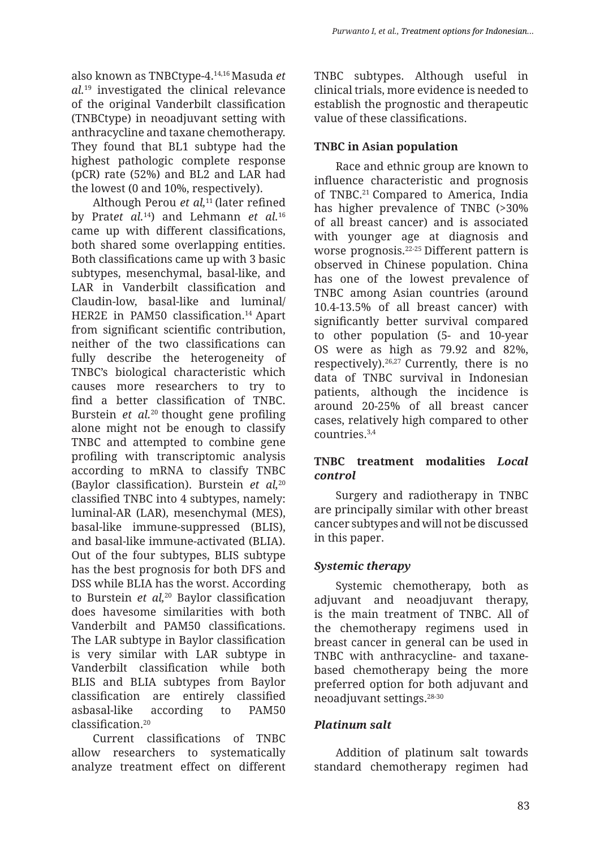also known as TNBCtype-4.14,16 Masuda *et al.*19 investigated the clinical relevance of the original Vanderbilt classification (TNBCtype) in neoadjuvant setting with anthracycline and taxane chemotherapy. They found that BL1 subtype had the highest pathologic complete response (pCR) rate (52%) and BL2 and LAR had the lowest (0 and 10%, respectively).

Although Perou *et al*,<sup>11</sup> (later refined by Prat*et al.*14) and Lehmann *et al.*<sup>16</sup> came up with different classifications, both shared some overlapping entities. Both classifications came up with 3 basic subtypes, mesenchymal, basal-like, and LAR in Vanderbilt classification and Claudin-low, basal-like and luminal/ HER2E in PAM50 classification.<sup>14</sup> Apart from significant scientific contribution, neither of the two classifications can fully describe the heterogeneity of TNBC's biological characteristic which causes more researchers to try to find a better classification of TNBC. Burstein *et al.*<sup>20</sup> thought gene profiling alone might not be enough to classify TNBC and attempted to combine gene profiling with transcriptomic analysis according to mRNA to classify TNBC (Baylor classification). Burstein *et al,*<sup>20</sup> classified TNBC into 4 subtypes, namely: luminal-AR (LAR), mesenchymal (MES), basal-like immune-suppressed (BLIS), and basal-like immune-activated (BLIA). Out of the four subtypes, BLIS subtype has the best prognosis for both DFS and DSS while BLIA has the worst. According to Burstein *et al,*<sup>20</sup> Baylor classification does havesome similarities with both Vanderbilt and PAM50 classifications. The LAR subtype in Baylor classification is very similar with LAR subtype in Vanderbilt classification while both BLIS and BLIA subtypes from Baylor classification are entirely classified asbasal-like according to PAM50 classification.<sup>20</sup>

Current classifications of TNBC allow researchers to systematically analyze treatment effect on different TNBC subtypes. Although useful in clinical trials, more evidence is needed to establish the prognostic and therapeutic value of these classifications.

# **TNBC in Asian population**

Race and ethnic group are known to influence characteristic and prognosis of TNBC.<sup>21</sup> Compared to America, India has higher prevalence of TNBC (>30% of all breast cancer) and is associated with younger age at diagnosis and worse prognosis.22-25 Different pattern is observed in Chinese population. China has one of the lowest prevalence of TNBC among Asian countries (around 10.4-13.5% of all breast cancer) with significantly better survival compared to other population (5- and 10-year OS were as high as 79.92 and 82%, respectively).26,27 Currently, there is no data of TNBC survival in Indonesian patients, although the incidence is around 20-25% of all breast cancer cases, relatively high compared to other  $countries$ <sup>3,4</sup>

### **TNBC treatment modalities** *Local control*

Surgery and radiotherapy in TNBC are principally similar with other breast cancer subtypes and will not be discussed in this paper.

# *Systemic therapy*

Systemic chemotherapy, both as adjuvant and neoadjuvant therapy, is the main treatment of TNBC. All of the chemotherapy regimens used in breast cancer in general can be used in TNBC with anthracycline- and taxanebased chemotherapy being the more preferred option for both adjuvant and neoadjuvant settings.28-30

# *Platinum salt*

Addition of platinum salt towards standard chemotherapy regimen had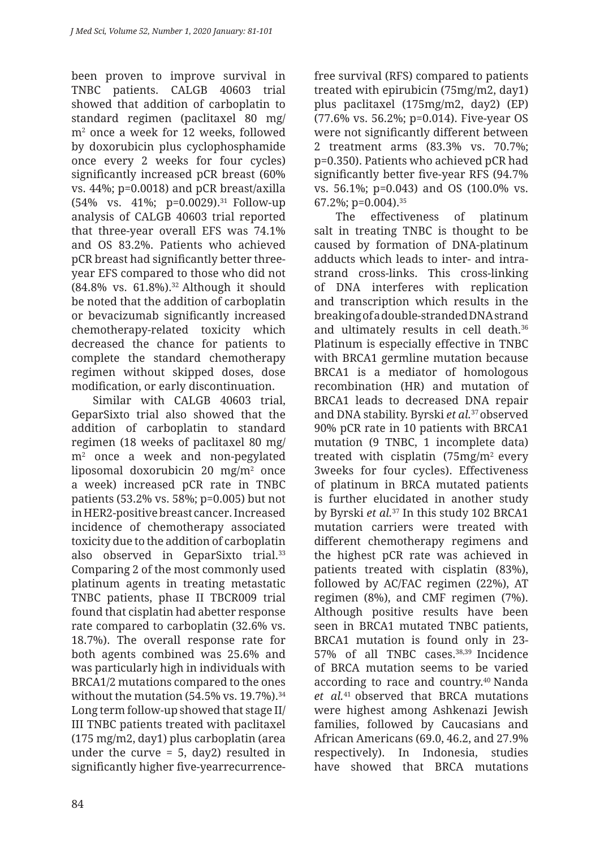been proven to improve survival in TNBC patients. CALGB 40603 trial showed that addition of carboplatin to standard regimen (paclitaxel 80 mg/ m2 once a week for 12 weeks, followed by doxorubicin plus cyclophosphamide once every 2 weeks for four cycles) significantly increased pCR breast (60% vs. 44%; p=0.0018) and pCR breast/axilla (54% vs. 41%; p=0.0029).<sup>31</sup> Follow-up analysis of CALGB 40603 trial reported that three-year overall EFS was 74.1% and OS 83.2%. Patients who achieved pCR breast had significantly better threeyear EFS compared to those who did not (84.8% vs. 61.8%).32 Although it should be noted that the addition of carboplatin or bevacizumab significantly increased chemotherapy-related toxicity which decreased the chance for patients to complete the standard chemotherapy regimen without skipped doses, dose modification, or early discontinuation.

Similar with CALGB 40603 trial, GeparSixto trial also showed that the addition of carboplatin to standard regimen (18 weeks of paclitaxel 80 mg/ m2 once a week and non-pegylated liposomal doxorubicin 20 mg/m2 once a week) increased pCR rate in TNBC patients (53.2% vs. 58%; p=0.005) but not in HER2-positive breast cancer. Increased incidence of chemotherapy associated toxicity due to the addition of carboplatin also observed in GeparSixto trial.33 Comparing 2 of the most commonly used platinum agents in treating metastatic TNBC patients, phase II TBCR009 trial found that cisplatin had abetter response rate compared to carboplatin (32.6% vs. 18.7%). The overall response rate for both agents combined was 25.6% and was particularly high in individuals with BRCA1/2 mutations compared to the ones without the mutation  $(54.5\% \text{ vs. } 19.7\%).^{34}$ Long term follow-up showed that stage II/ III TNBC patients treated with paclitaxel (175 mg/m2, day1) plus carboplatin (area under the curve  $= 5$ , day2) resulted in significantly higher five-yearrecurrence-

84

free survival (RFS) compared to patients treated with epirubicin (75mg/m2, day1) plus paclitaxel (175mg/m2, day2) (EP) (77.6% vs. 56.2%; p=0.014). Five-year OS were not significantly different between 2 treatment arms (83.3% vs. 70.7%; p=0.350). Patients who achieved pCR had significantly better five-year RFS (94.7% vs. 56.1%; p=0.043) and OS (100.0% vs. 67.2%; p=0.004).35

The effectiveness of platinum salt in treating TNBC is thought to be caused by formation of DNA-platinum adducts which leads to inter- and intrastrand cross-links. This cross-linking of DNA interferes with replication and transcription which results in the breaking of a double-stranded DNA strand and ultimately results in cell death.<sup>36</sup> Platinum is especially effective in TNBC with BRCA1 germline mutation because BRCA1 is a mediator of homologous recombination (HR) and mutation of BRCA1 leads to decreased DNA repair and DNA stability. Byrski *et al.*37 observed 90% pCR rate in 10 patients with BRCA1 mutation (9 TNBC, 1 incomplete data) treated with cisplatin  $(75mg/m^2)$  every 3weeks for four cycles). Effectiveness of platinum in BRCA mutated patients is further elucidated in another study by Byrski *et al.*37 In this study 102 BRCA1 mutation carriers were treated with different chemotherapy regimens and the highest pCR rate was achieved in patients treated with cisplatin (83%), followed by AC/FAC regimen (22%), AT regimen (8%), and CMF regimen (7%). Although positive results have been seen in BRCA1 mutated TNBC patients, BRCA1 mutation is found only in 23- 57% of all TNBC cases.38,39 Incidence of BRCA mutation seems to be varied according to race and country.40 Nanda *et al.*41 observed that BRCA mutations were highest among Ashkenazi Jewish families, followed by Caucasians and African Americans (69.0, 46.2, and 27.9% respectively). In Indonesia, studies have showed that BRCA mutations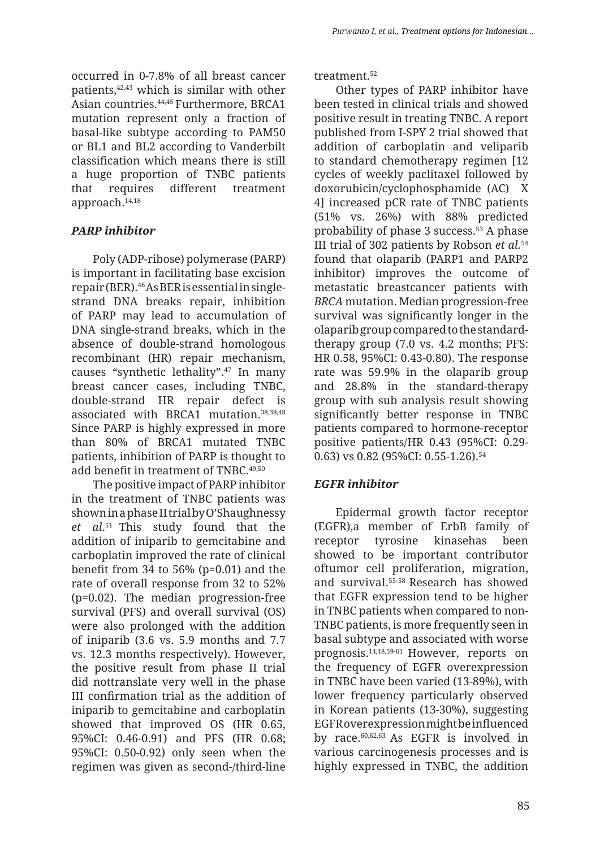occurred in 0-7.8% of all breast cancer patients,42,43 which is similar with other Asian countries.44,45 Furthermore, BRCA1 mutation represent only a fraction of basal-like subtype according to PAM50 or BL1 and BL2 according to Vanderbilt classification which means there is still a huge proportion of TNBC patients that requires different treatment approach.14,18

# *PARP inhibitor*

Poly (ADP-ribose) polymerase (PARP) is important in facilitating base excision repair (BER).46 As BER is essential in singlestrand DNA breaks repair, inhibition of PARP may lead to accumulation of DNA single-strand breaks, which in the absence of double-strand homologous recombinant (HR) repair mechanism, causes "synthetic lethality".47 In many breast cancer cases, including TNBC, double-strand HR repair defect is associated with BRCA1 mutation.38,39,48 Since PARP is highly expressed in more than 80% of BRCA1 mutated TNBC patients, inhibition of PARP is thought to add benefit in treatment of TNBC.<sup>49,50</sup>

The positive impact of PARP inhibitor in the treatment of TNBC patients was shown in a phase II trial by O'Shaughnessy *et al*. 51 This study found that the addition of iniparib to gemcitabine and carboplatin improved the rate of clinical benefit from 34 to 56% (p=0.01) and the rate of overall response from 32 to 52% (p=0.02). The median progression-free survival (PFS) and overall survival (OS) were also prolonged with the addition of iniparib (3.6 vs. 5.9 months and 7.7 vs. 12.3 months respectively). However, the positive result from phase II trial did nottranslate very well in the phase III confirmation trial as the addition of iniparib to gemcitabine and carboplatin showed that improved OS (HR 0.65, 95%CI: 0.46-0.91) and PFS (HR 0.68; 95%CI: 0.50-0.92) only seen when the regimen was given as second-/third-line

treatment.<sup>52</sup>

Other types of PARP inhibitor have been tested in clinical trials and showed positive result in treating TNBC. A report published from I-SPY 2 trial showed that addition of carboplatin and veliparib to standard chemotherapy regimen [12 cycles of weekly paclitaxel followed by doxorubicin/cyclophosphamide (AC) X 4] increased pCR rate of TNBC patients (51% vs. 26%) with 88% predicted probability of phase 3 success.<sup>53</sup> A phase III trial of 302 patients by Robson *et al.*<sup>54</sup> found that olaparib (PARP1 and PARP2 inhibitor) improves the outcome of metastatic breastcancer patients with *BRCA* mutation. Median progression-free survival was significantly longer in the olaparib group compared to the standardtherapy group (7.0 vs. 4.2 months; PFS: HR 0.58, 95%CI: 0.43-0.80). The response rate was 59.9% in the olaparib group and 28.8% in the standard-therapy group with sub analysis result showing significantly better response in TNBC patients compared to hormone-receptor positive patients/HR 0.43 (95%CI: 0.29- 0.63) vs 0.82 (95%CI: 0.55-1.26).<sup>54</sup>

# *EGFR inhibitor*

Epidermal growth factor receptor (EGFR),a member of ErbB family of receptor tyrosine kinasehas been showed to be important contributor oftumor cell proliferation, migration, and survival.55-58 Research has showed that EGFR expression tend to be higher in TNBC patients when compared to non-TNBC patients, is more frequently seen in basal subtype and associated with worse prognosis.14,18,59-61 However, reports on the frequency of EGFR overexpression in TNBC have been varied (13-89%), with lower frequency particularly observed in Korean patients (13-30%), suggesting EGFR overexpression might be influenced by race.60,62,63 As EGFR is involved in various carcinogenesis processes and is highly expressed in TNBC, the addition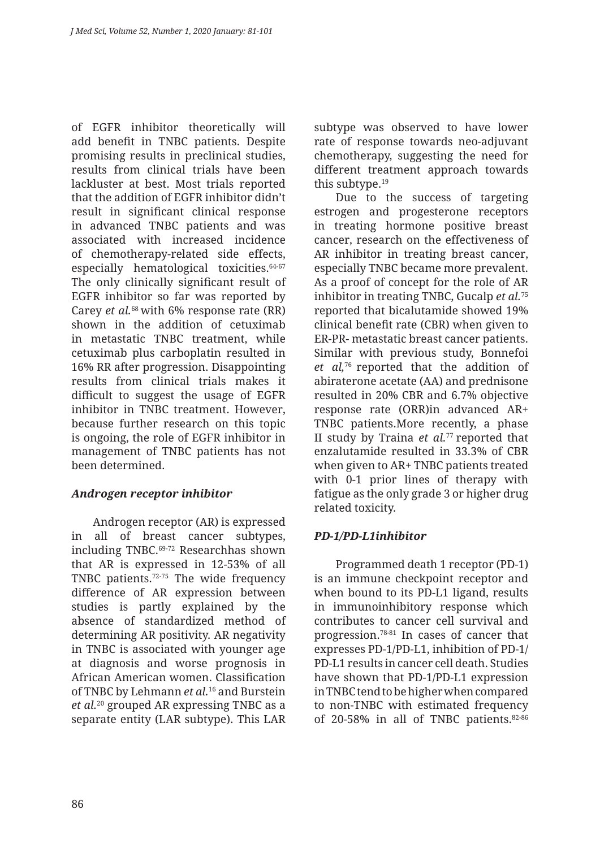of EGFR inhibitor theoretically will add benefit in TNBC patients. Despite promising results in preclinical studies, results from clinical trials have been lackluster at best. Most trials reported that the addition of EGFR inhibitor didn't result in significant clinical response in advanced TNBC patients and was associated with increased incidence of chemotherapy-related side effects, especially hematological toxicities. 64-67 The only clinically significant result of EGFR inhibitor so far was reported by Carey *et al.*68 with 6% response rate (RR) shown in the addition of cetuximab in metastatic TNBC treatment, while cetuximab plus carboplatin resulted in 16% RR after progression. Disappointing results from clinical trials makes it difficult to suggest the usage of EGFR inhibitor in TNBC treatment. However, because further research on this topic is ongoing, the role of EGFR inhibitor in management of TNBC patients has not been determined.

#### *Androgen receptor inhibitor*

Androgen receptor (AR) is expressed in all of breast cancer subtypes, including TNBC.69-72 Researchhas shown that AR is expressed in 12-53% of all TNBC patients.72-75 The wide frequency difference of AR expression between studies is partly explained by the absence of standardized method of determining AR positivity. AR negativity in TNBC is associated with younger age at diagnosis and worse prognosis in African American women. Classification of TNBC by Lehmann *et al.*16 and Burstein *et al.*20 grouped AR expressing TNBC as a separate entity (LAR subtype). This LAR subtype was observed to have lower rate of response towards neo-adjuvant chemotherapy, suggesting the need for different treatment approach towards this subtype.19

Due to the success of targeting estrogen and progesterone receptors in treating hormone positive breast cancer, research on the effectiveness of AR inhibitor in treating breast cancer, especially TNBC became more prevalent. As a proof of concept for the role of AR inhibitor in treating TNBC, Gucalp *et al.*<sup>75</sup> reported that bicalutamide showed 19% clinical benefit rate (CBR) when given to ER-PR- metastatic breast cancer patients. Similar with previous study, Bonnefoi *et al,*76 reported that the addition of abiraterone acetate (AA) and prednisone resulted in 20% CBR and 6.7% objective response rate (ORR)in advanced AR+ TNBC patients.More recently, a phase II study by Traina *et al.*77 reported that enzalutamide resulted in 33.3% of CBR when given to AR+ TNBC patients treated with 0-1 prior lines of therapy with fatigue as the only grade 3 or higher drug related toxicity.

# *PD-1/PD-L1inhibitor*

Programmed death 1 receptor (PD-1) is an immune checkpoint receptor and when bound to its PD-L1 ligand, results in immunoinhibitory response which contributes to cancer cell survival and progression.78-81 In cases of cancer that expresses PD-1/PD-L1, inhibition of PD-1/ PD-L1 results in cancer cell death. Studies have shown that PD-1/PD-L1 expression in TNBC tend to be higher when compared to non-TNBC with estimated frequency of 20-58% in all of TNBC patients.82-86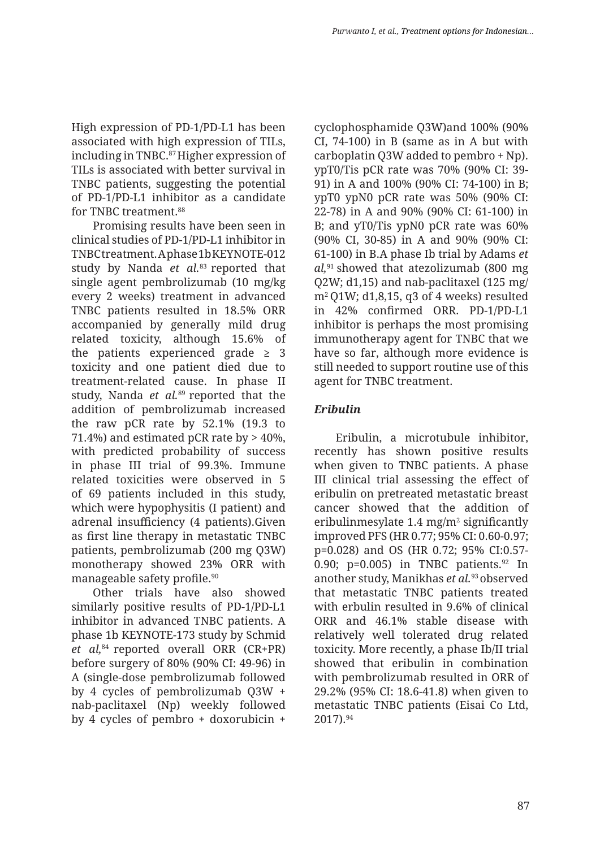High expression of PD-1/PD-L1 has been associated with high expression of TILs, including in TNBC.<sup>87</sup> Higher expression of TILs is associated with better survival in TNBC patients, suggesting the potential of PD-1/PD-L1 inhibitor as a candidate for TNBC treatment.<sup>88</sup>

Promising results have been seen in clinical studies of PD-1/PD-L1 inhibitor in TNBC treatment. A phase 1b KEYNOTE-012 study by Nanda *et al.*83 reported that single agent pembrolizumab (10 mg/kg every 2 weeks) treatment in advanced TNBC patients resulted in 18.5% ORR accompanied by generally mild drug related toxicity, although 15.6% of the patients experienced grade  $\geq$  3 toxicity and one patient died due to treatment-related cause. In phase II study, Nanda *et al.*89 reported that the addition of pembrolizumab increased the raw pCR rate by 52.1% (19.3 to 71.4%) and estimated pCR rate by  $> 40\%$ , with predicted probability of success in phase III trial of 99.3%. Immune related toxicities were observed in 5 of 69 patients included in this study, which were hypophysitis (I patient) and adrenal insufficiency (4 patients).Given as first line therapy in metastatic TNBC patients, pembrolizumab (200 mg Q3W) monotherapy showed 23% ORR with manageable safety profile.<sup>90</sup>

Other trials have also showed similarly positive results of PD-1/PD-L1 inhibitor in advanced TNBC patients. A phase 1b KEYNOTE-173 study by Schmid *et al,*84 reported overall ORR (CR+PR) before surgery of 80% (90% CI: 49-96) in A (single-dose pembrolizumab followed by 4 cycles of pembrolizumab Q3W + nab-paclitaxel (Np) weekly followed by 4 cycles of pembro + doxorubicin +

cyclophosphamide Q3W)and 100% (90% CI, 74-100) in B (same as in A but with carboplatin Q3W added to pembro + Np). ypT0/Tis pCR rate was 70% (90% CI: 39- 91) in A and 100% (90% CI: 74-100) in B; ypT0 ypN0 pCR rate was 50% (90% CI: 22-78) in A and 90% (90% CI: 61-100) in B; and yT0/Tis ypN0 pCR rate was 60% (90% CI, 30-85) in A and 90% (90% CI: 61-100) in B.A phase Ib trial by Adams *et al,*91 showed that atezolizumab (800 mg Q2W; d1,15) and nab-paclitaxel (125 mg/ m2 Q1W; d1,8,15, q3 of 4 weeks) resulted in 42% confirmed ORR. PD-1/PD-L1 inhibitor is perhaps the most promising immunotherapy agent for TNBC that we have so far, although more evidence is still needed to support routine use of this agent for TNBC treatment.

# *Eribulin*

Eribulin, a microtubule inhibitor, recently has shown positive results when given to TNBC patients. A phase III clinical trial assessing the effect of eribulin on pretreated metastatic breast cancer showed that the addition of eribulinmesylate  $1.4 \text{ mg/m}^2$  significantly improved PFS (HR 0.77; 95% CI: 0.60-0.97; p=0.028) and OS (HR 0.72; 95% CI:0.57- 0.90; p=0.005) in TNBC patients.<sup>92</sup> In another study, Manikhas *et al.*93 observed that metastatic TNBC patients treated with erbulin resulted in 9.6% of clinical ORR and 46.1% stable disease with relatively well tolerated drug related toxicity. More recently, a phase Ib/II trial showed that eribulin in combination with pembrolizumab resulted in ORR of 29.2% (95% CI: 18.6-41.8) when given to metastatic TNBC patients (Eisai Co Ltd, 2017).94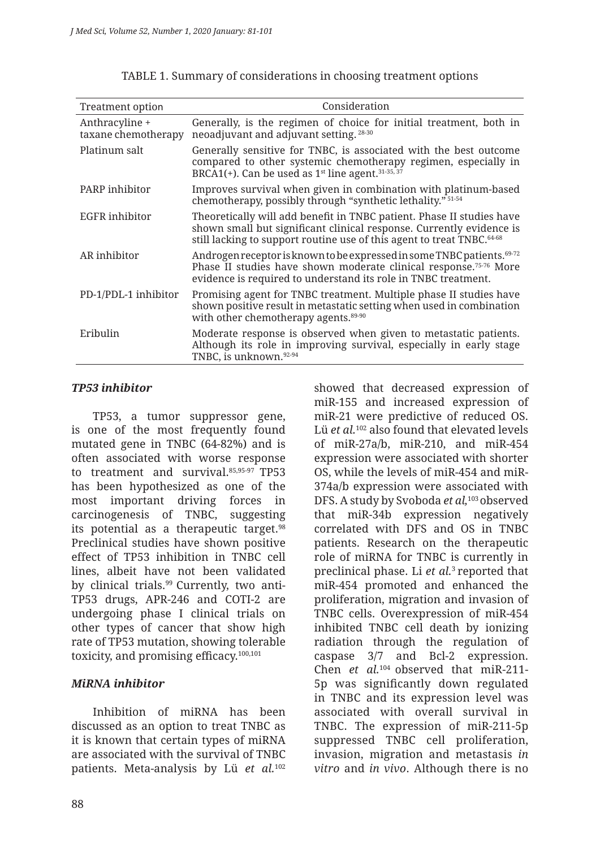| <b>Treatment option</b>               | Consideration                                                                                                                                                                                                                       |
|---------------------------------------|-------------------------------------------------------------------------------------------------------------------------------------------------------------------------------------------------------------------------------------|
| Anthracyline +<br>taxane chemotherapy | Generally, is the regimen of choice for initial treatment, both in<br>neoadjuvant and adjuvant setting. 28-30                                                                                                                       |
| Platinum salt                         | Generally sensitive for TNBC, is associated with the best outcome<br>compared to other systemic chemotherapy regimen, especially in<br>BRCA1(+). Can be used as $1st$ line agent. <sup>31-35, 37</sup>                              |
| PARP inhibitor                        | Improves survival when given in combination with platinum-based<br>chemotherapy, possibly through "synthetic lethality." 51-54                                                                                                      |
| EGFR inhibitor                        | Theoretically will add benefit in TNBC patient. Phase II studies have<br>shown small but significant clinical response. Currently evidence is<br>still lacking to support routine use of this agent to treat TNBC. <sup>64-68</sup> |
| AR inhibitor                          | Androgen receptor is known to be expressed in some TNBC patients. 69-72<br>Phase II studies have shown moderate clinical response. <sup>75-76</sup> More<br>evidence is required to understand its role in TNBC treatment.          |
| PD-1/PDL-1 inhibitor                  | Promising agent for TNBC treatment. Multiple phase II studies have<br>shown positive result in metastatic setting when used in combination<br>with other chemotherapy agents. <sup>89-90</sup>                                      |
| Eribulin                              | Moderate response is observed when given to metastatic patients.<br>Although its role in improving survival, especially in early stage<br>TNBC, is unknown.92-94                                                                    |

|  |  | TABLE 1. Summary of considerations in choosing treatment options |  |
|--|--|------------------------------------------------------------------|--|
|  |  |                                                                  |  |

#### *TP53 inhibitor*

TP53, a tumor suppressor gene, is one of the most frequently found mutated gene in TNBC (64-82%) and is often associated with worse response to treatment and survival.85,95-97 TP53 has been hypothesized as one of the most important driving forces in carcinogenesis of TNBC, suggesting its potential as a therapeutic target.98 Preclinical studies have shown positive effect of TP53 inhibition in TNBC cell lines, albeit have not been validated by clinical trials.99 Currently, two anti-TP53 drugs, APR-246 and COTI-2 are undergoing phase I clinical trials on other types of cancer that show high rate of TP53 mutation, showing tolerable toxicity, and promising efficacy.100,101

#### *MiRNA inhibitor*

Inhibition of miRNA has been discussed as an option to treat TNBC as it is known that certain types of miRNA are associated with the survival of TNBC patients. Meta-analysis by Lü *et al.*<sup>102</sup>

showed that decreased expression of miR-155 and increased expression of miR-21 were predictive of reduced OS. Lü *et al.*102 also found that elevated levels of miR-27a/b, miR-210, and miR-454 expression were associated with shorter OS, while the levels of miR-454 and miR-374a/b expression were associated with DFS. A study by Svoboda *et al,*103 observed that miR-34b expression negatively correlated with DFS and OS in TNBC patients. Research on the therapeutic role of miRNA for TNBC is currently in preclinical phase. Li *et al.*3 reported that miR-454 promoted and enhanced the proliferation, migration and invasion of TNBC cells. Overexpression of miR-454 inhibited TNBC cell death by ionizing radiation through the regulation of caspase 3/7 and Bcl-2 expression. Chen *et al.*104 observed that miR-211- 5p was significantly down regulated in TNBC and its expression level was associated with overall survival in TNBC. The expression of miR-211-5p suppressed TNBC cell proliferation, invasion, migration and metastasis *in vitro* and *in vivo*. Although there is no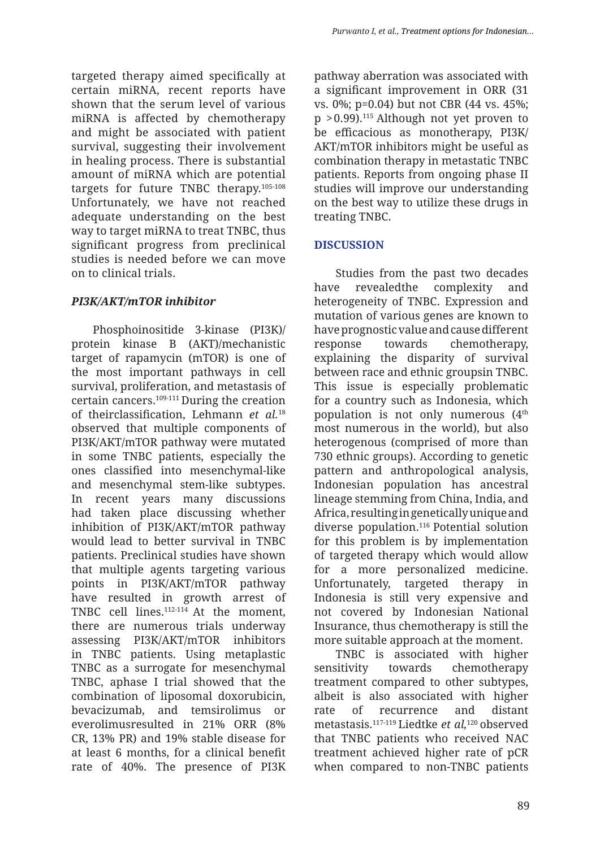targeted therapy aimed specifically at certain miRNA, recent reports have shown that the serum level of various miRNA is affected by chemotherapy and might be associated with patient survival, suggesting their involvement in healing process. There is substantial amount of miRNA which are potential targets for future TNBC therapy.105-108 Unfortunately, we have not reached adequate understanding on the best way to target miRNA to treat TNBC, thus significant progress from preclinical studies is needed before we can move on to clinical trials.

# *PI3K/AKT/mTOR inhibitor*

Phosphoinositide 3-kinase (PI3K)/ protein kinase B (AKT)/mechanistic target of rapamycin (mTOR) is one of the most important pathways in cell survival, proliferation, and metastasis of certain cancers.109-111 During the creation of theirclassification, Lehmann *et al.*<sup>18</sup> observed that multiple components of PI3K/AKT/mTOR pathway were mutated in some TNBC patients, especially the ones classified into mesenchymal-like and mesenchymal stem-like subtypes. In recent years many discussions had taken place discussing whether inhibition of PI3K/AKT/mTOR pathway would lead to better survival in TNBC patients. Preclinical studies have shown that multiple agents targeting various points in PI3K/AKT/mTOR pathway have resulted in growth arrest of TNBC cell lines.112-114 At the moment, there are numerous trials underway assessing PI3K/AKT/mTOR inhibitors in TNBC patients. Using metaplastic TNBC as a surrogate for mesenchymal TNBC, aphase I trial showed that the combination of liposomal doxorubicin, bevacizumab, and temsirolimus or everolimusresulted in 21% ORR (8% CR, 13% PR) and 19% stable disease for at least 6 months, for a clinical benefit rate of 40%. The presence of PI3K pathway aberration was associated with a significant improvement in ORR (31 vs. 0%; p=0.04) but not CBR (44 vs. 45%;  $p > 0.99$ .<sup>115</sup> Although not yet proven to be efficacious as monotherapy, PI3K/ AKT/mTOR inhibitors might be useful as combination therapy in metastatic TNBC patients. Reports from ongoing phase II studies will improve our understanding on the best way to utilize these drugs in treating TNBC.

# **DISCUSSION**

Studies from the past two decades have revealedthe complexity and heterogeneity of TNBC. Expression and mutation of various genes are known to have prognostic value and cause different response towards chemotherapy, explaining the disparity of survival between race and ethnic groupsin TNBC. This issue is especially problematic for a country such as Indonesia, which population is not only numerous  $(4<sup>th</sup>$ most numerous in the world), but also heterogenous (comprised of more than 730 ethnic groups). According to genetic pattern and anthropological analysis, Indonesian population has ancestral lineage stemming from China, India, and Africa, resulting in genetically unique and diverse population.116 Potential solution for this problem is by implementation of targeted therapy which would allow for a more personalized medicine. Unfortunately, targeted therapy in Indonesia is still very expensive and not covered by Indonesian National Insurance, thus chemotherapy is still the more suitable approach at the moment.

TNBC is associated with higher sensitivity towards chemotherapy treatment compared to other subtypes, albeit is also associated with higher rate of recurrence and distant metastasis.117-119 Liedtke *et al,*120 observed that TNBC patients who received NAC treatment achieved higher rate of pCR when compared to non-TNBC patients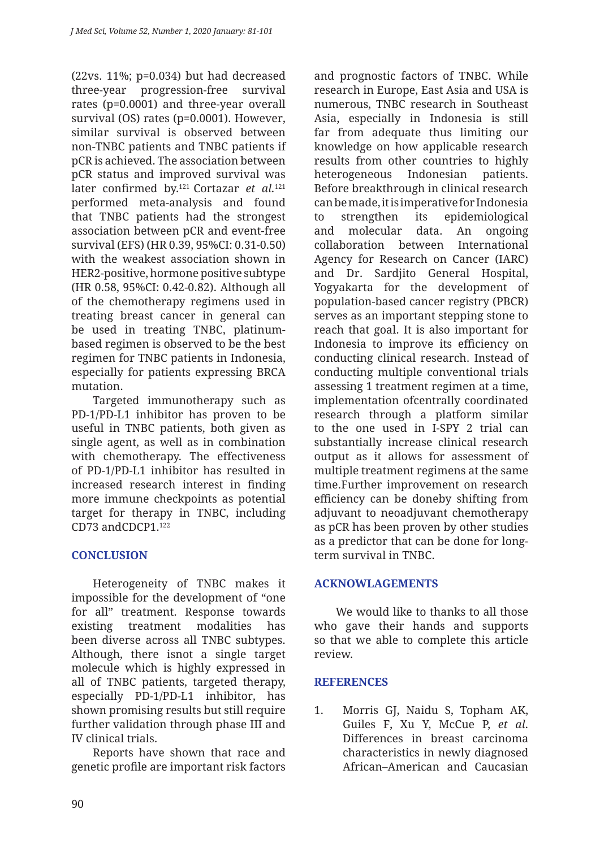(22vs. 11%; p=0.034) but had decreased three-year progression-free survival rates (p=0.0001) and three-year overall survival (OS) rates (p=0.0001). However, similar survival is observed between non-TNBC patients and TNBC patients if pCR is achieved. The association between pCR status and improved survival was later confirmed by.<sup>121</sup> Cortazar *et al.*<sup>121</sup> performed meta-analysis and found that TNBC patients had the strongest association between pCR and event-free survival (EFS) (HR 0.39, 95%CI: 0.31-0.50) with the weakest association shown in HER2-positive, hormone positive subtype (HR 0.58, 95%CI: 0.42-0.82). Although all of the chemotherapy regimens used in treating breast cancer in general can be used in treating TNBC, platinumbased regimen is observed to be the best regimen for TNBC patients in Indonesia, especially for patients expressing BRCA mutation.

Targeted immunotherapy such as PD-1/PD-L1 inhibitor has proven to be useful in TNBC patients, both given as single agent, as well as in combination with chemotherapy. The effectiveness of PD-1/PD-L1 inhibitor has resulted in increased research interest in finding more immune checkpoints as potential target for therapy in TNBC, including CD73 andCDCP1 122

# **CONCLUSION**

Heterogeneity of TNBC makes it impossible for the development of "one for all" treatment. Response towards existing treatment modalities has been diverse across all TNBC subtypes. Although, there isnot a single target molecule which is highly expressed in all of TNBC patients, targeted therapy, especially PD-1/PD-L1 inhibitor, has shown promising results but still require further validation through phase III and IV clinical trials.

Reports have shown that race and genetic profile are important risk factors and prognostic factors of TNBC. While research in Europe, East Asia and USA is numerous, TNBC research in Southeast Asia, especially in Indonesia is still far from adequate thus limiting our knowledge on how applicable research results from other countries to highly heterogeneous Indonesian patients. Before breakthrough in clinical research can be made, it is imperative for Indonesia to strengthen its epidemiological and molecular data. An ongoing collaboration between International Agency for Research on Cancer (IARC) and Dr. Sardjito General Hospital, Yogyakarta for the development of population-based cancer registry (PBCR) serves as an important stepping stone to reach that goal. It is also important for Indonesia to improve its efficiency on conducting clinical research. Instead of conducting multiple conventional trials assessing 1 treatment regimen at a time, implementation ofcentrally coordinated research through a platform similar to the one used in I-SPY 2 trial can substantially increase clinical research output as it allows for assessment of multiple treatment regimens at the same time.Further improvement on research efficiency can be doneby shifting from adjuvant to neoadjuvant chemotherapy as pCR has been proven by other studies as a predictor that can be done for longterm survival in TNBC.

#### **ACKNOWLAGEMENTS**

We would like to thanks to all those who gave their hands and supports so that we able to complete this article review.

# **REFERENCES**

1. Morris GJ, Naidu S, Topham AK, Guiles F, Xu Y, McCue P, *et al*. Differences in breast carcinoma characteristics in newly diagnosed African–American and Caucasian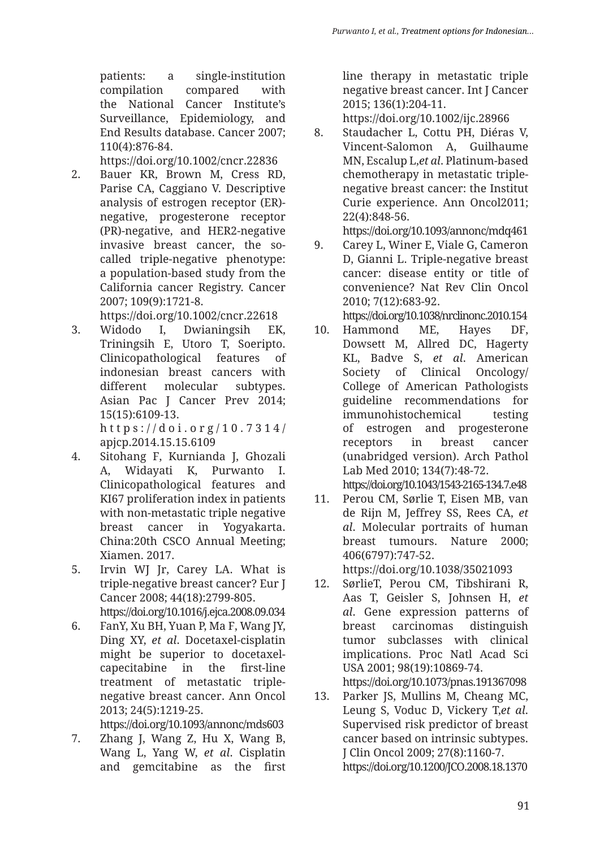patients: a single-institution compilation compared with the National Cancer Institute's Surveillance, Epidemiology, and End Results database. Cancer 2007; 110(4):876-84.

https://doi.org/10.1002/cncr.22836

- 2. Bauer KR, Brown M, Cress RD, Parise CA, Caggiano V. Descriptive analysis of estrogen receptor (ER) negative, progesterone receptor (PR)-negative, and HER2-negative invasive breast cancer, the socalled triple-negative phenotype: a population-based study from the California cancer Registry. Cancer 2007; 109(9):1721-8. https://doi.org/10.1002/cncr.22618
- 3. Widodo I, Dwianingsih EK, Triningsih E, Utoro T, Soeripto. Clinicopathological features of indonesian breast cancers with different molecular subtypes. Asian Pac J Cancer Prev 2014; 15(15):6109-13. https://doi.org/10.7314/ apjcp.2014.15.15.6109
- 4. Sitohang F, Kurnianda J, Ghozali A, Widayati K, Purwanto I. Clinicopathological features and KI67 proliferation index in patients with non-metastatic triple negative breast cancer in Yogyakarta. China:20th CSCO Annual Meeting; Xiamen. 2017.
- 5. Irvin WJ Jr, Carey LA. What is triple-negative breast cancer? Eur J Cancer 2008; 44(18):2799-805. https://doi.org/10.1016/j.ejca.2008.09.034
- 6. FanY, Xu BH, Yuan P, Ma F, Wang JY, Ding XY, *et al*. Docetaxel-cisplatin might be superior to docetaxelcapecitabine in the first-line treatment of metastatic triplenegative breast cancer. Ann Oncol 2013; 24(5):1219-25.

https://doi.org/10.1093/annonc/mds603

7. Zhang J, Wang Z, Hu X, Wang B, Wang L, Yang W, *et al*. Cisplatin and gemcitabine as the first line therapy in metastatic triple negative breast cancer. Int J Cancer 2015; 136(1):204-11.

https://doi.org/10.1002/ijc.28966

8. Staudacher L, Cottu PH, Diéras V, Vincent-Salomon A, Guilhaume MN, Escalup L,*et al*. Platinum-based chemotherapy in metastatic triplenegative breast cancer: the Institut Curie experience. Ann Oncol2011; 22(4):848-56.

https://doi.org/10.1093/annonc/mdq461

- 9. Carey L, Winer E, Viale G, Cameron D, Gianni L. Triple-negative breast cancer: disease entity or title of convenience? Nat Rev Clin Oncol 2010; 7(12):683-92. https://doi.org/10.1038/nrclinonc.2010.154
- 10. Hammond ME, Hayes DF, Dowsett M, Allred DC, Hagerty KL, Badve S, *et al*. American Society of Clinical Oncology/ College of American Pathologists guideline recommendations for immunohistochemical testing of estrogen and progesterone receptors in breast cancer (unabridged version). Arch Pathol Lab Med 2010; 134(7):48-72.

https://doi.org/10.1043/1543-2165-134.7.e48

11. Perou CM, Sørlie T, Eisen MB, van de Rijn M, Jeffrey SS, Rees CA, *et al*. Molecular portraits of human breast tumours. Nature 2000; 406(6797):747-52.

https://doi.org/10.1038/35021093

12. SørlieT, Perou CM, Tibshirani R, Aas T, Geisler S, Johnsen H, *et al*. Gene expression patterns of breast carcinomas distinguish tumor subclasses with clinical implications. Proc Natl Acad Sci USA 2001; 98(19):10869-74. https://doi.org/10.1073/pnas.191367098

13. Parker JS, Mullins M, Cheang MC, Leung S, Voduc D, Vickery T,*et al*. Supervised risk predictor of breast cancer based on intrinsic subtypes. J Clin Oncol 2009; 27(8):1160-7.

https://doi.org/10.1200/JCO.2008.18.1370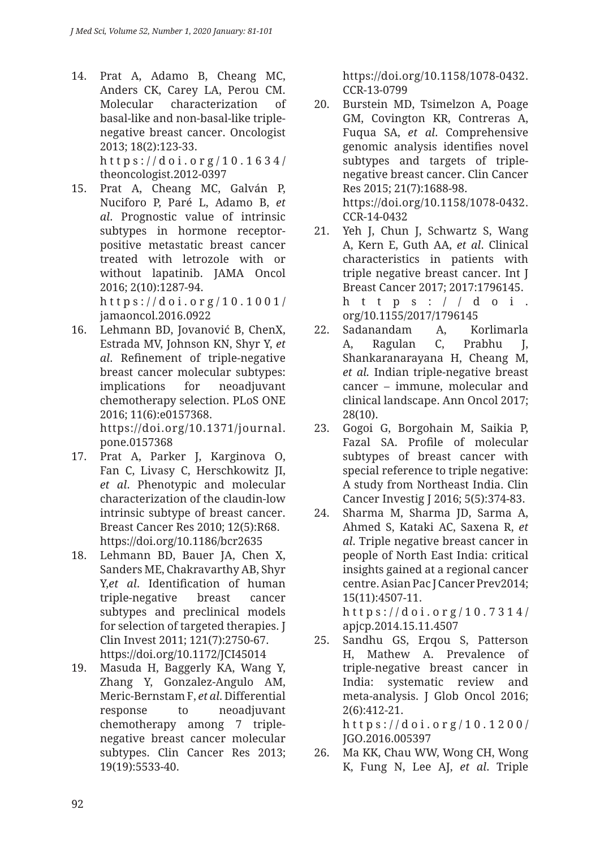14. Prat A, Adamo B, Cheang MC, Anders CK, Carey LA, Perou CM. Molecular characterization of basal-like and non-basal-like triplenegative breast cancer. Oncologist 2013; 18(2):123-33. https://doi.org/10.1634/

theoncologist.2012-0397 15. Prat A, Cheang MC, Galván P,

Nuciforo P, Paré L, Adamo B, *et al*. Prognostic value of intrinsic subtypes in hormone receptorpositive metastatic breast cancer treated with letrozole with or without lapatinib. JAMA Oncol 2016; 2(10):1287-94.

https://doi.org/10.1001/ jamaoncol.2016.0922

- 16. Lehmann BD, Jovanović B, ChenX, Estrada MV, Johnson KN, Shyr Y, *et al*. Refinement of triple-negative breast cancer molecular subtypes: implications for neoadjuvant chemotherapy selection. PLoS ONE 2016; 11(6):e0157368. https://doi.org/10.1371/journal. pone.0157368
- 17. Prat A, Parker J, Karginova O, Fan C, Livasy C, Herschkowitz JI, *et al*. Phenotypic and molecular characterization of the claudin-low intrinsic subtype of breast cancer. Breast Cancer Res 2010; 12(5):R68. https://doi.org/10.1186/bcr2635
- 18. Lehmann BD, Bauer JA, Chen X, Sanders ME, Chakravarthy AB, Shyr Y,*et al*. Identification of human triple-negative breast cancer subtypes and preclinical models for selection of targeted therapies. J Clin Invest 2011; 121(7):2750-67. https://doi.org/10.1172/JCI45014
- 19. Masuda H, Baggerly KA, Wang Y, Zhang Y, Gonzalez-Angulo AM, Meric-Bernstam F, *et al*. Differential response to neoadjuvant chemotherapy among 7 triplenegative breast cancer molecular subtypes. Clin Cancer Res 2013; 19(19):5533-40.

https://doi.org/10.1158/1078-0432. CCR-13-0799

- 20. Burstein MD, Tsimelzon A, Poage GM, Covington KR, Contreras A, Fuqua SA, *et al*. Comprehensive genomic analysis identifies novel subtypes and targets of triplenegative breast cancer. Clin Cancer Res 2015; 21(7):1688-98. https://doi.org/10.1158/1078-0432. CCR-14-0432
- 21. Yeh J, Chun J, Schwartz S, Wang A, Kern E, Guth AA, *et al*. Clinical characteristics in patients with triple negative breast cancer. Int J Breast Cancer 2017; 2017:1796145. https://doi. org/10.1155/2017/1796145
- 22. Sadanandam A, Korlimarla A, Ragulan C, Prabhu J, Shankaranarayana H, Cheang M, *et al.* Indian triple-negative breast cancer – immune, molecular and clinical landscape. Ann Oncol 2017; 28(10).
- 23. Gogoi G, Borgohain M, Saikia P, Fazal SA. Profile of molecular subtypes of breast cancer with special reference to triple negative: A study from Northeast India. Clin Cancer Investig J 2016; 5(5):374-83.
- 24. Sharma M, Sharma JD, Sarma A, Ahmed S, Kataki AC, Saxena R, *et al*. Triple negative breast cancer in people of North East India: critical insights gained at a regional cancer centre. Asian Pac J Cancer Prev2014; 15(11):4507-11. https://doi.org/10.7314/ apjcp.2014.15.11.4507
- 25. Sandhu GS, Erqou S, Patterson H, Mathew A. Prevalence of triple-negative breast cancer in India: systematic review and meta-analysis. J Glob Oncol 2016; 2(6):412-21. https://doi.org/10.1200/ JGO.2016.005397
- 26. Ma KK, Chau WW, Wong CH, Wong K, Fung N, Lee AJ, *et al*. Triple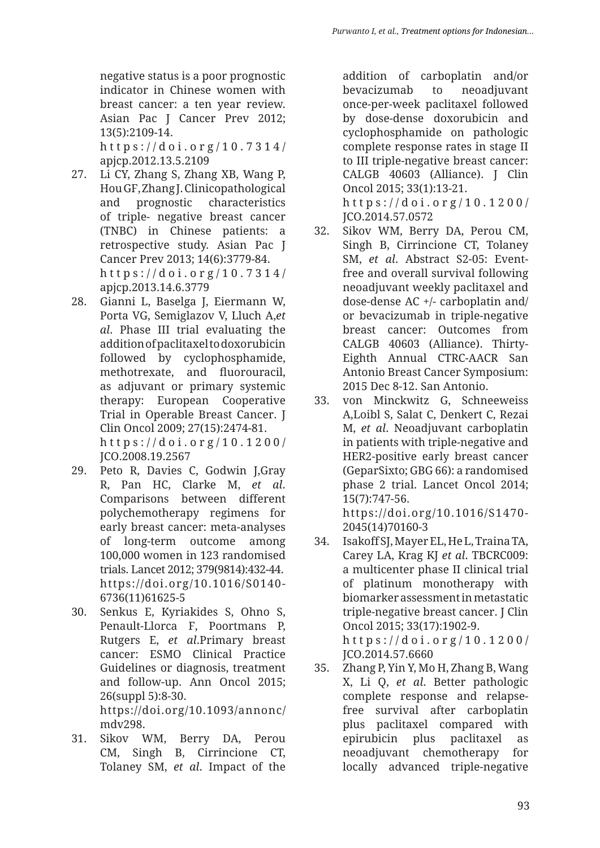negative status is a poor prognostic indicator in Chinese women with breast cancer: a ten year review. Asian Pac J Cancer Prev 2012; 13(5):2109-14. https://doi.org/10.7314/ apjcp.2012.13.5.2109

- 27. Li CY, Zhang S, Zhang XB, Wang P, Hou GF, Zhang J. Clinicopathological and prognostic characteristics of triple- negative breast cancer (TNBC) in Chinese patients: a retrospective study. Asian Pac J Cancer Prev 2013; 14(6):3779-84. https://doi.org/10.7314/ apjcp.2013.14.6.3779
- 28. Gianni L, Baselga J, Eiermann W, Porta VG, Semiglazov V, Lluch A,*et al*. Phase III trial evaluating the addition of paclitaxel to doxorubicin followed by cyclophosphamide, methotrexate, and fluorouracil, as adjuvant or primary systemic therapy: European Cooperative Trial in Operable Breast Cancer. J Clin Oncol 2009; 27(15):2474-81. https://doi.org/10.1200/ JCO.2008.19.2567
- 29. Peto R, Davies C, Godwin J,Gray R, Pan HC, Clarke M, *et al*. Comparisons between different polychemotherapy regimens for early breast cancer: meta-analyses of long-term outcome among 100,000 women in 123 randomised trials. Lancet 2012; 379(9814):432-44. https://doi.org/10.1016/S0140- 6736(11)61625-5
- 30. Senkus E, Kyriakides S, Ohno S, Penault-Llorca F, Poortmans P, Rutgers E, *et al*.Primary breast cancer: ESMO Clinical Practice Guidelines or diagnosis, treatment and follow-up. Ann Oncol 2015; 26(suppl 5):8-30. https://doi.org/10.1093/annonc/ mdv298.
- 31. Sikov WM, Berry DA, Perou CM, Singh B, Cirrincione CT, Tolaney SM, *et al*. Impact of the

addition of carboplatin and/or bevacizumab to neoadjuvant once-per-week paclitaxel followed by dose-dense doxorubicin and cyclophosphamide on pathologic complete response rates in stage II to III triple-negative breast cancer: CALGB 40603 (Alliance). J Clin Oncol 2015; 33(1):13-21. https://doi.org/10.1200/ JCO.2014.57.0572

- 32. Sikov WM, Berry DA, Perou CM, Singh B, Cirrincione CT, Tolaney SM, *et al*. Abstract S2-05: Eventfree and overall survival following neoadjuvant weekly paclitaxel and dose-dense AC +/- carboplatin and/ or bevacizumab in triple-negative breast cancer: Outcomes from CALGB 40603 (Alliance). Thirty-Eighth Annual CTRC-AACR San Antonio Breast Cancer Symposium: 2015 Dec 8-12. San Antonio.
- 33. von Minckwitz G, Schneeweiss A,Loibl S, Salat C, Denkert C, Rezai M, *et al*. Neoadjuvant carboplatin in patients with triple-negative and HER2-positive early breast cancer (GeparSixto; GBG 66): a randomised phase 2 trial. Lancet Oncol 2014; 15(7):747-56. https://doi.org/10.1016/S1470-

2045(14)70160-3

- 34. Isakoff SJ, Mayer EL, He L, Traina TA, Carey LA, Krag KJ *et al*. TBCRC009: a multicenter phase II clinical trial of platinum monotherapy with biomarker assessment in metastatic triple-negative breast cancer. J Clin Oncol 2015; 33(17):1902-9. https://doi.org/10.1200/ JCO.2014.57.6660
- 35. Zhang P, Yin Y, Mo H, Zhang B, Wang X, Li Q, *et al*. Better pathologic complete response and relapsefree survival after carboplatin plus paclitaxel compared with epirubicin plus paclitaxel as neoadjuvant chemotherapy for locally advanced triple-negative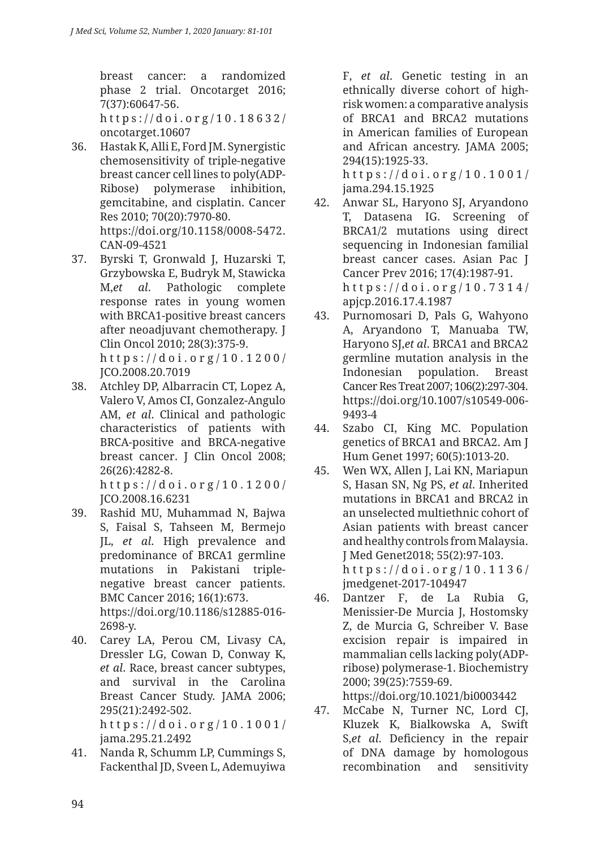breast cancer: a randomized phase 2 trial. Oncotarget 2016; 7(37):60647-56.

https://doi.org/10.18632/ oncotarget.10607

- 36. Hastak K, Alli E, Ford JM. Synergistic chemosensitivity of triple-negative breast cancer cell lines to poly(ADP-Ribose) polymerase inhibition, gemcitabine, and cisplatin. Cancer Res 2010; 70(20):7970-80. https://doi.org/10.1158/0008-5472. CAN-09-4521
- 37. Byrski T, Gronwald J, Huzarski T, Grzybowska E, Budryk M, Stawicka M,*et al*. Pathologic complete response rates in young women with BRCA1-positive breast cancers after neoadjuvant chemotherapy. J Clin Oncol 2010; 28(3):375-9. https://doi.org/10.1200/ JCO.2008.20.7019
- 38. Atchley DP, Albarracin CT, Lopez A, Valero V, Amos CI, Gonzalez-Angulo AM, *et al*. Clinical and pathologic characteristics of patients with BRCA-positive and BRCA-negative breast cancer. J Clin Oncol 2008; 26(26):4282-8.

https://doi.org/10.1200/ JCO.2008.16.6231

- 39. Rashid MU, Muhammad N, Bajwa S, Faisal S, Tahseen M, Bermejo JL, *et al*. High prevalence and predominance of BRCA1 germline mutations in Pakistani triplenegative breast cancer patients. BMC Cancer 2016; 16(1):673. https://doi.org/10.1186/s12885-016- 2698-y.
- 40. Carey LA, Perou CM, Livasy CA, Dressler LG, Cowan D, Conway K, *et al*. Race, breast cancer subtypes, and survival in the Carolina Breast Cancer Study. JAMA 2006; 295(21):2492-502. https://doi.org/10.1001/ jama.295.21.2492
- 41. Nanda R, Schumm LP, Cummings S, Fackenthal JD, Sveen L, Ademuyiwa

F, *et al*. Genetic testing in an ethnically diverse cohort of highrisk women: a comparative analysis of BRCA1 and BRCA2 mutations in American families of European and African ancestry. JAMA 2005; 294(15):1925-33.

https://doi.org/10.1001/ jama.294.15.1925

- 42. Anwar SL, Haryono SJ, Aryandono T, Datasena IG. Screening of BRCA1/2 mutations using direct sequencing in Indonesian familial breast cancer cases. Asian Pac J Cancer Prev 2016; 17(4):1987-91. https://doi.org/10.7314/ apjcp.2016.17.4.1987
- 43. Purnomosari D, Pals G, Wahyono A, Aryandono T, Manuaba TW, Haryono SJ,*et al*. BRCA1 and BRCA2 germline mutation analysis in the Indonesian population. Breast Cancer Res Treat 2007; 106(2):297-304. https://doi.org/10.1007/s10549-006- 9493-4
- 44. Szabo CI, King MC. Population genetics of BRCA1 and BRCA2. Am J Hum Genet 1997; 60(5):1013-20.
- 45. Wen WX, Allen J, Lai KN, Mariapun S, Hasan SN, Ng PS, *et al*. Inherited mutations in BRCA1 and BRCA2 in an unselected multiethnic cohort of Asian patients with breast cancer and healthy controls from Malaysia. J Med Genet2018; 55(2):97-103. https://doi.org/10.1136/ jmedgenet-2017-104947
- 46. Dantzer F, de La Rubia G, Menissier-De Murcia J, Hostomsky Z, de Murcia G, Schreiber V. Base excision repair is impaired in mammalian cells lacking poly(ADPribose) polymerase-1. Biochemistry 2000; 39(25):7559-69.

https://doi.org/10.1021/bi0003442

47. McCabe N, Turner NC, Lord CJ, Kluzek K, Bialkowska A, Swift S,*et al*. Deficiency in the repair of DNA damage by homologous recombination and sensitivity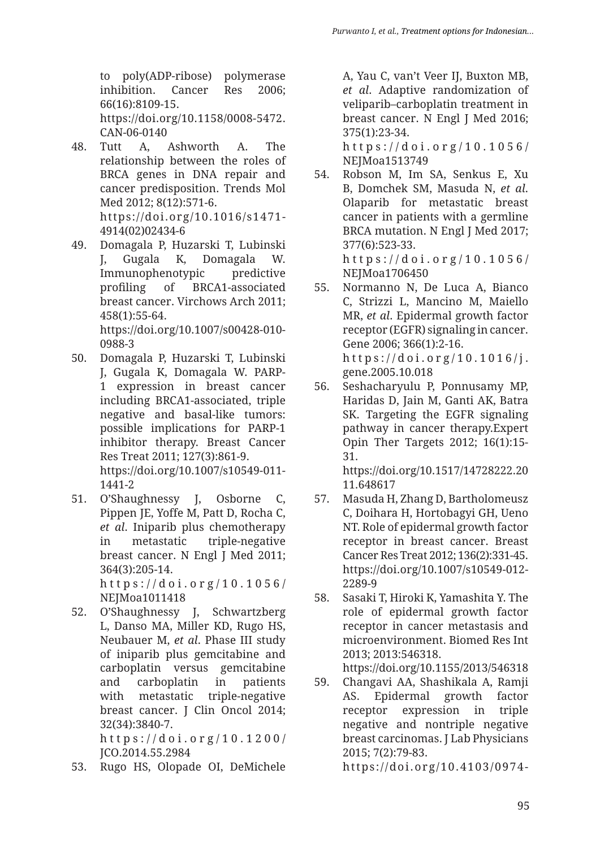to poly(ADP-ribose) polymerase inhibition. Cancer Res 2006; 66(16):8109-15. https://doi.org/10.1158/0008-5472. CAN-06-0140

- 48. Tutt A, Ashworth A. The relationship between the roles of BRCA genes in DNA repair and cancer predisposition. Trends Mol Med 2012; 8(12):571-6. https://doi.org/10.1016/s1471- 4914(02)02434-6
- 49. Domagala P, Huzarski T, Lubinski J, Gugala K, Domagala W. Immunophenotypic predictive profiling of BRCA1-associated breast cancer. Virchows Arch 2011; 458(1):55-64. https://doi.org/10.1007/s00428-010- 0988-3
- 50. Domagala P, Huzarski T, Lubinski J, Gugala K, Domagala W. PARP-1 expression in breast cancer including BRCA1-associated, triple negative and basal-like tumors: possible implications for PARP-1 inhibitor therapy. Breast Cancer Res Treat 2011; 127(3):861-9. https://doi.org/10.1007/s10549-011- 1441-2
- 51. O'Shaughnessy J, Osborne C, Pippen JE, Yoffe M, Patt D, Rocha C, *et al*. Iniparib plus chemotherapy in metastatic triple-negative breast cancer. N Engl J Med 2011; 364(3):205-14. https://doi.org/10.1056/

NEJMoa1011418 52. O'Shaughnessy J, Schwartzberg L, Danso MA, Miller KD, Rugo HS, Neubauer M, *et al*. Phase III study

of iniparib plus gemcitabine and carboplatin versus gemcitabine and carboplatin in patients with metastatic triple-negative breast cancer. J Clin Oncol 2014; 32(34):3840-7.

https://doi.org/10.1200/ JCO.2014.55.2984

53. Rugo HS, Olopade OI, DeMichele

A, Yau C, van't Veer IJ, Buxton MB, *et al*. Adaptive randomization of veliparib–carboplatin treatment in breast cancer. N Engl J Med 2016; 375(1):23-34.

https://doi.org/10.1056/ NEJMoa1513749

- 54. Robson M, Im SA, Senkus E, Xu B, Domchek SM, Masuda N, *et al*. Olaparib for metastatic breast cancer in patients with a germline BRCA mutation. N Engl J Med 2017; 377(6):523-33. https://doi.org/10.1056/ NEIMoa1706450
- 55. Normanno N, De Luca A, Bianco C, Strizzi L, Mancino M, Maiello MR, *et al*. Epidermal growth factor receptor (EGFR) signaling in cancer. Gene 2006; 366(1):2-16. https://doi.org/10.1016/j. gene.2005.10.018
- 56. Seshacharyulu P, Ponnusamy MP, Haridas D, Jain M, Ganti AK, Batra SK. Targeting the EGFR signaling pathway in cancer therapy.Expert Opin Ther Targets 2012; 16(1):15- 31.

https://doi.org/10.1517/14728222.20 11.648617

57. Masuda H, Zhang D, Bartholomeusz C, Doihara H, Hortobagyi GH, Ueno NT. Role of epidermal growth factor receptor in breast cancer. Breast Cancer Res Treat 2012; 136(2):331-45. https://doi.org/10.1007/s10549-012- 2289-9

58. Sasaki T, Hiroki K, Yamashita Y. The role of epidermal growth factor receptor in cancer metastasis and microenvironment. Biomed Res Int 2013; 2013:546318.

https://doi.org/10.1155/2013/546318

59. Changavi AA, Shashikala A, Ramji AS. Epidermal growth factor receptor expression in triple negative and nontriple negative breast carcinomas. J Lab Physicians 2015; 7(2):79-83.

https://doi.org/10.4103/0974-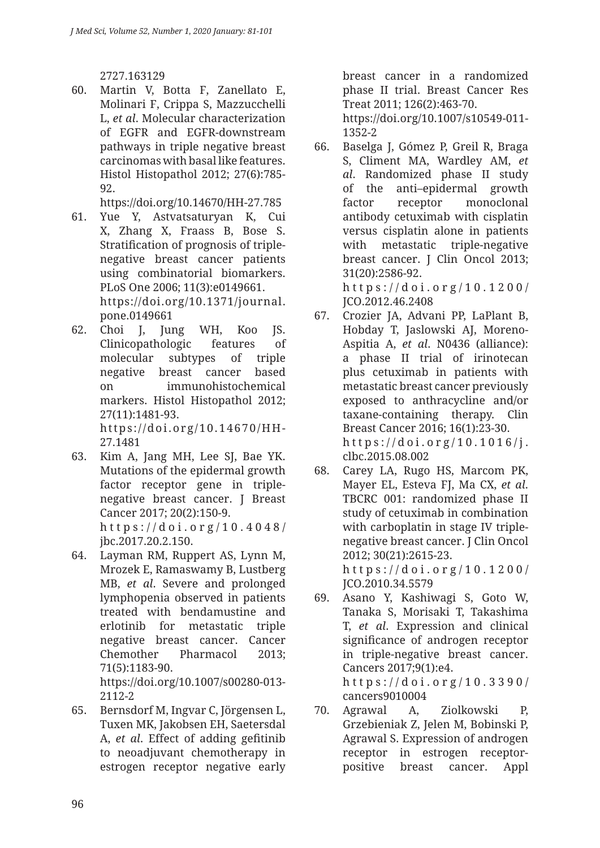2727.163129

60. Martin V, Botta F, Zanellato E, Molinari F, Crippa S, Mazzucchelli L, *et al*. Molecular characterization of EGFR and EGFR-downstream pathways in triple negative breast carcinomas with basal like features. Histol Histopathol 2012; 27(6):785- 92.

https://doi.org/10.14670/HH-27.785

- 61. Yue Y, Astvatsaturyan K, Cui X, Zhang X, Fraass B, Bose S. Stratification of prognosis of triplenegative breast cancer patients using combinatorial biomarkers. PLoS One 2006; 11(3):e0149661. https://doi.org/10.1371/journal. pone.0149661
- 62. Choi J, Jung WH, Koo JS. Clinicopathologic features of molecular subtypes of triple negative breast cancer based on immunohistochemical markers. Histol Histopathol 2012; 27(11):1481-93. https://doi.org/10.14670/HH-27.1481
- 63. Kim A, Jang MH, Lee SJ, Bae YK. Mutations of the epidermal growth factor receptor gene in triplenegative breast cancer. J Breast Cancer 2017; 20(2):150-9. https://doi.org/10.4048/ jbc.2017.20.2.150.
- 64. Layman RM, Ruppert AS, Lynn M, Mrozek E, Ramaswamy B, Lustberg MB, *et al*. Severe and prolonged lymphopenia observed in patients treated with bendamustine and erlotinib for metastatic triple negative breast cancer. Cancer Chemother Pharmacol 2013; 71(5):1183-90. https://doi.org/10.1007/s00280-013- 2112-2
- 65. Bernsdorf M, Ingvar C, Jörgensen L, Tuxen MK, Jakobsen EH, Saetersdal A, *et al*. Effect of adding gefitinib to neoadjuvant chemotherapy in estrogen receptor negative early

breast cancer in a randomized phase II trial. Breast Cancer Res Treat 2011; 126(2):463-70. https://doi.org/10.1007/s10549-011- 1352-2

66. Baselga J, Gómez P, Greil R, Braga S, Climent MA, Wardley AM, *et al*. Randomized phase II study of the anti–epidermal growth factor receptor monoclonal antibody cetuximab with cisplatin versus cisplatin alone in patients with metastatic triple-negative breast cancer. J Clin Oncol 2013; 31(20):2586-92. https://doi.org/10.1200/

JCO.2012.46.2408

- 67. Crozier JA, Advani PP, LaPlant B, Hobday T, Jaslowski AJ, Moreno-Aspitia A, *et al*. N0436 (alliance): a phase II trial of irinotecan plus cetuximab in patients with metastatic breast cancer previously exposed to anthracycline and/or taxane-containing therapy. Clin Breast Cancer 2016; 16(1):23-30. https://doi.org/10.1016/j. clbc.2015.08.002
- 68. Carey LA, Rugo HS, Marcom PK, Mayer EL, Esteva FJ, Ma CX, *et al*. TBCRC 001: randomized phase II study of cetuximab in combination with carboplatin in stage IV triplenegative breast cancer. J Clin Oncol 2012; 30(21):2615-23. https://doi.org/10.1200/ JCO.2010.34.5579
- 69. Asano Y, Kashiwagi S, Goto W, Tanaka S, Morisaki T, Takashima T, *et al*. Expression and clinical significance of androgen receptor in triple-negative breast cancer. Cancers 2017;9(1):e4. https://doi.org/10.3390/ cancers9010004
- 70. Agrawal A, Ziolkowski P, Grzebieniak Z, Jelen M, Bobinski P, Agrawal S. Expression of androgen receptor in estrogen receptorpositive breast cancer. Appl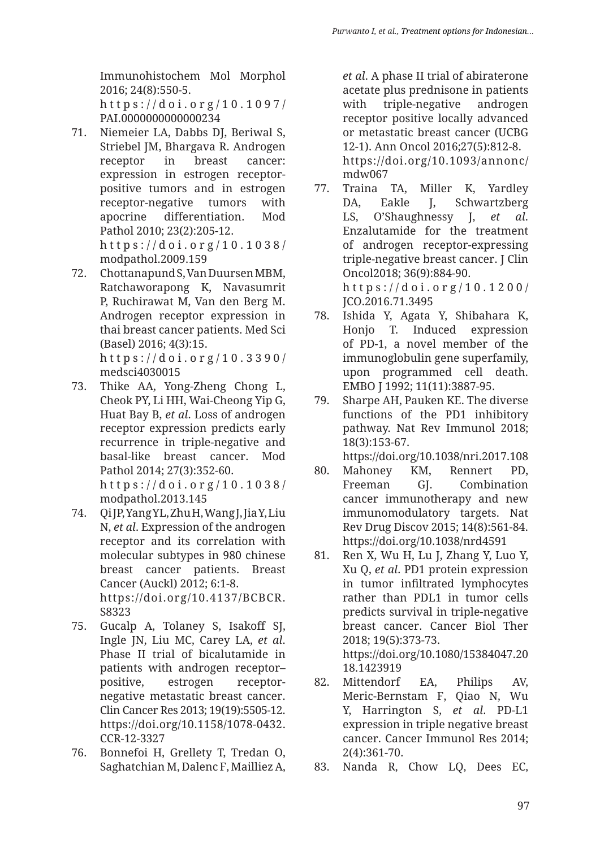Immunohistochem Mol Morphol 2016; 24(8):550-5. https://doi.org/10.1097/

PAI.0000000000000234

- 71. Niemeier LA, Dabbs DJ, Beriwal S, Striebel JM, Bhargava R. Androgen receptor in breast cancer: expression in estrogen receptorpositive tumors and in estrogen receptor-negative tumors with apocrine differentiation. Mod Pathol 2010; 23(2):205-12. https://doi.org/10.1038/ modpathol.2009.159
- 72. Chottanapund S, Van Duursen MBM, Ratchaworapong K, Navasumrit P, Ruchirawat M, Van den Berg M. Androgen receptor expression in thai breast cancer patients. Med Sci (Basel) 2016; 4(3):15. https://doi.org/10.3390/

medsci4030015

- 73. Thike AA, Yong-Zheng Chong L, Cheok PY, Li HH, Wai-Cheong Yip G, Huat Bay B, *et al*. Loss of androgen receptor expression predicts early recurrence in triple-negative and basal-like breast cancer. Mod Pathol 2014; 27(3):352-60. https://doi.org/10.1038/ modpathol.2013.145
- 74. Qi JP, Yang YL, Zhu H, Wang J, Jia Y, Liu N, *et al*. Expression of the androgen receptor and its correlation with molecular subtypes in 980 chinese breast cancer patients. Breast Cancer (Auckl) 2012; 6:1-8. https://doi.org/10.4137/BCBCR. S8323
- 75. Gucalp A, Tolaney S, Isakoff SJ, Ingle JN, Liu MC, Carey LA, *et al*. Phase II trial of bicalutamide in patients with androgen receptor– positive, estrogen receptornegative metastatic breast cancer. Clin Cancer Res 2013; 19(19):5505-12. https://doi.org/10.1158/1078-0432. CCR-12-3327
- 76. Bonnefoi H, Grellety T, Tredan O, Saghatchian M, Dalenc F, Mailliez A,

*et al*. A phase II trial of abiraterone acetate plus prednisone in patients with triple-negative androgen receptor positive locally advanced or metastatic breast cancer (UCBG 12-1). Ann Oncol 2016;27(5):812-8. https://doi.org/10.1093/annonc/ mdw067

- 77. Traina TA, Miller K, Yardley DA, Eakle J, Schwartzberg LS, O'Shaughnessy J, *et al*. Enzalutamide for the treatment of androgen receptor-expressing triple-negative breast cancer. J Clin Oncol2018; 36(9):884-90. https://doi.org/10.1200/
	- JCO.2016.71.3495
- 78. Ishida Y, Agata Y, Shibahara K, Honjo T. Induced expression of PD-1, a novel member of the immunoglobulin gene superfamily, upon programmed cell death. EMBO J 1992; 11(11):3887-95.
- 79. Sharpe AH, Pauken KE. The diverse functions of the PD1 inhibitory pathway. Nat Rev Immunol 2018; 18(3):153-67.
	- https://doi.org/10.1038/nri.2017.108
- 80. Mahoney KM, Rennert PD, Freeman GJ. Combination cancer immunotherapy and new immunomodulatory targets. Nat Rev Drug Discov 2015; 14(8):561-84. https://doi.org/10.1038/nrd4591
- 81. Ren X, Wu H, Lu J, Zhang Y, Luo Y, Xu Q, *et al*. PD1 protein expression in tumor infiltrated lymphocytes rather than PDL1 in tumor cells predicts survival in triple-negative breast cancer. Cancer Biol Ther 2018; 19(5):373-73. https://doi.org/10.1080/15384047.20 18.1423919
- 82. Mittendorf EA, Philips AV, Meric-Bernstam F, Qiao N, Wu Y, Harrington S, *et al*. PD-L1 expression in triple negative breast cancer. Cancer Immunol Res 2014; 2(4):361-70.
- 83. Nanda R, Chow LQ, Dees EC,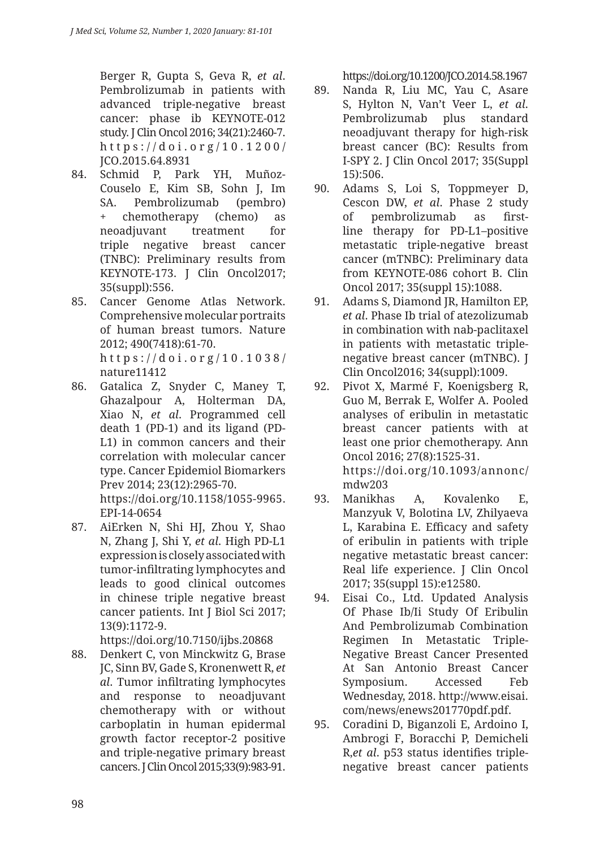Berger R, Gupta S, Geva R, *et al*. Pembrolizumab in patients with advanced triple-negative breast cancer: phase ib KEYNOTE-012 study. J Clin Oncol 2016; 34(21):2460-7. https://doi.org/10.1200/ JCO.2015.64.8931

- 84. Schmid P, Park YH, Muñoz-Couselo E, Kim SB, Sohn J, Im SA. Pembrolizumab (pembro) + chemotherapy (chemo) as neoadjuvant treatment for triple negative breast cancer (TNBC): Preliminary results from KEYNOTE-173. I Clin Oncol2017: 35(suppl):556.
- 85. Cancer Genome Atlas Network. Comprehensive molecular portraits of human breast tumors. Nature 2012; 490(7418):61-70. https://doi.org/10.1038/ nature11412
- 86. Gatalica Z, Snyder C, Maney T, Ghazalpour A, Holterman DA, Xiao N, *et al*. Programmed cell death 1 (PD-1) and its ligand (PD-L1) in common cancers and their correlation with molecular cancer type. Cancer Epidemiol Biomarkers Prev 2014; 23(12):2965-70. https://doi.org/10.1158/1055-9965. EPI-14-0654
- 87. AiErken N, Shi HJ, Zhou Y, Shao N, Zhang J, Shi Y, *et al*. High PD-L1 expression is closely associated with tumor-infiltrating lymphocytes and leads to good clinical outcomes in chinese triple negative breast cancer patients. Int J Biol Sci 2017; 13(9):1172-9.

https://doi.org/10.7150/ijbs.20868

88. Denkert C, von Minckwitz G, Brase JC, Sinn BV, Gade S, Kronenwett R, *et al*. Tumor infiltrating lymphocytes and response to neoadjuvant chemotherapy with or without carboplatin in human epidermal growth factor receptor-2 positive and triple-negative primary breast cancers. J Clin Oncol 2015;33(9):983-91. https://doi.org/10.1200/JCO.2014.58.1967

- 89. Nanda R, Liu MC, Yau C, Asare S, Hylton N, Van't Veer L, *et al*. Pembrolizumab plus standard neoadjuvant therapy for high-risk breast cancer (BC): Results from I-SPY 2. J Clin Oncol 2017; 35(Suppl 15):506.
- 90. Adams S, Loi S, Toppmeyer D, Cescon DW, *et al*. Phase 2 study of pembrolizumab as firstline therapy for PD-L1–positive metastatic triple-negative breast cancer (mTNBC): Preliminary data from KEYNOTE-086 cohort B. Clin Oncol 2017; 35(suppl 15):1088.
- 91. Adams S, Diamond JR, Hamilton EP, *et al*. Phase Ib trial of atezolizumab in combination with nab-paclitaxel in patients with metastatic triplenegative breast cancer (mTNBC). J Clin Oncol2016; 34(suppl):1009.
- 92. Pivot X, Marmé F, Koenigsberg R, Guo M, Berrak E, Wolfer A. Pooled analyses of eribulin in metastatic breast cancer patients with at least one prior chemotherapy. Ann Oncol 2016; 27(8):1525-31. https://doi.org/10.1093/annonc/ mdw203
- 93. Manikhas A, Kovalenko E, Manzyuk V, Bolotina LV, Zhilyaeva L, Karabina E. Efficacy and safety of eribulin in patients with triple negative metastatic breast cancer: Real life experience. J Clin Oncol 2017; 35(suppl 15):e12580.
- 94. Eisai Co., Ltd. Updated Analysis Of Phase Ib/Ii Study Of Eribulin And Pembrolizumab Combination Regimen In Metastatic Triple-Negative Breast Cancer Presented At San Antonio Breast Cancer Symposium. Accessed Feb Wednesday, 2018. http://www.eisai. com/news/enews201770pdf.pdf.
- 95. Coradini D, Biganzoli E, Ardoino I, Ambrogi F, Boracchi P, Demicheli R,*et al*. p53 status identifies triplenegative breast cancer patients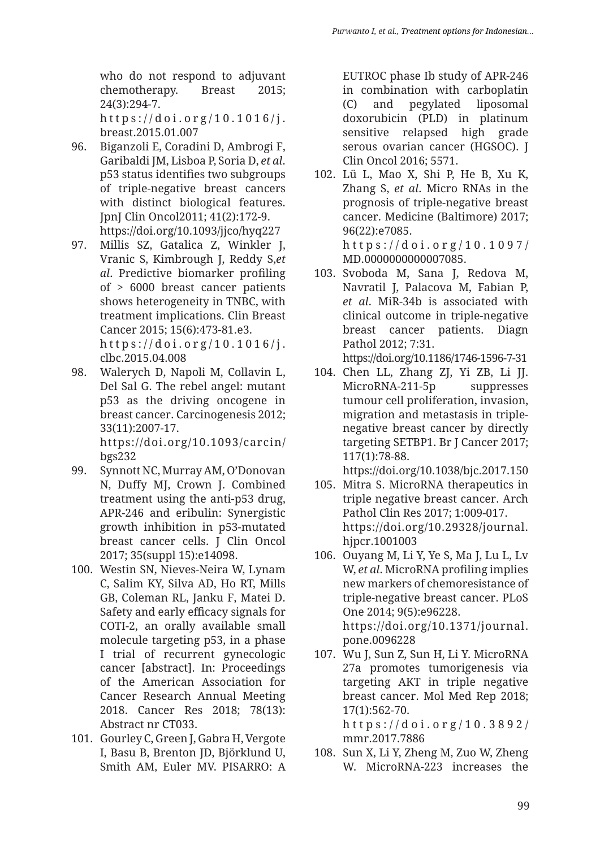who do not respond to adjuvant chemotherapy. Breast 2015; 24(3):294-7.

https://doi.org/10.1016/j. breast.2015.01.007

- 96. Biganzoli E, Coradini D, Ambrogi F, Garibaldi JM, Lisboa P, Soria D, *et al*. p53 status identifies two subgroups of triple-negative breast cancers with distinct biological features. JpnJ Clin Oncol2011; 41(2):172-9. https://doi.org/10.1093/jjco/hyq227
- 97. Millis SZ, Gatalica Z, Winkler J, Vranic S, Kimbrough J, Reddy S,*et al*. Predictive biomarker profiling of > 6000 breast cancer patients shows heterogeneity in TNBC, with treatment implications. Clin Breast Cancer 2015; 15(6):473-81.e3. https://doi.org/10.1016/j. clbc.2015.04.008
- 98. Walerych D, Napoli M, Collavin L, Del Sal G. The rebel angel: mutant p53 as the driving oncogene in breast cancer. Carcinogenesis 2012; 33(11):2007-17. https://doi.org/10.1093/carcin/

bgs232

- 99. Synnott NC, Murray AM, O'Donovan N, Duffy MJ, Crown J. Combined treatment using the anti-p53 drug, APR-246 and eribulin: Synergistic growth inhibition in p53-mutated breast cancer cells. J Clin Oncol 2017; 35(suppl 15):e14098.
- 100. Westin SN, Nieves-Neira W, Lynam C, Salim KY, Silva AD, Ho RT, Mills GB, Coleman RL, Janku F, Matei D. Safety and early efficacy signals for COTI-2, an orally available small molecule targeting p53, in a phase I trial of recurrent gynecologic cancer [abstract]. In: Proceedings of the American Association for Cancer Research Annual Meeting 2018. Cancer Res 2018; 78(13): Abstract nr CT033.
- 101. Gourley C, Green J, Gabra H, Vergote I, Basu B, Brenton JD, Björklund U, Smith AM, Euler MV. PISARRO: A

EUTROC phase Ib study of APR-246 in combination with carboplatin (C) and pegylated liposomal doxorubicin (PLD) in platinum sensitive relapsed high grade serous ovarian cancer (HGSOC). J Clin Oncol 2016; 5571.

- 102. Lü L, Mao X, Shi P, He B, Xu K, Zhang S, *et al*. Micro RNAs in the prognosis of triple-negative breast cancer. Medicine (Baltimore) 2017; 96(22):e7085. https://doi.org/10.1097/ MD.0000000000007085.
- 103. Svoboda M, Sana J, Redova M, Navratil J, Palacova M, Fabian P, *et al*. MiR-34b is associated with clinical outcome in triple-negative breast cancer patients. Diagn Pathol 2012; 7:31. https://doi.org/10.1186/1746-1596-7-31
- 104. Chen LL, Zhang ZJ, Yi ZB, Li JJ. MicroRNA-211-5p suppresses tumour cell proliferation, invasion, migration and metastasis in triplenegative breast cancer by directly targeting SETBP1. Br J Cancer 2017; 117(1):78-88.

https://doi.org/10.1038/bjc.2017.150

- 105. Mitra S. MicroRNA therapeutics in triple negative breast cancer. Arch Pathol Clin Res 2017; 1:009-017. https://doi.org/10.29328/journal. hjpcr.1001003
- 106. Ouyang M, Li Y, Ye S, Ma J, Lu L, Lv W, *et al*. MicroRNA profiling implies new markers of chemoresistance of triple-negative breast cancer. PLoS One 2014; 9(5):e96228. https://doi.org/10.1371/journal. pone.0096228
- 107. Wu J, Sun Z, Sun H, Li Y. MicroRNA 27a promotes tumorigenesis via targeting AKT in triple negative breast cancer. Mol Med Rep 2018; 17(1):562-70. https://doi.org/10.3892/ mmr.2017.7886
- 108. Sun X, Li Y, Zheng M, Zuo W, Zheng W. MicroRNA-223 increases the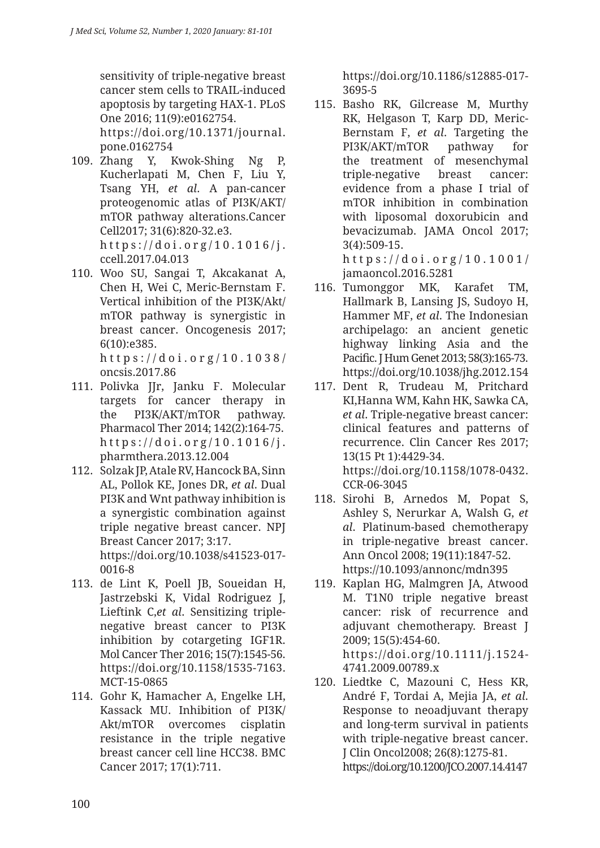sensitivity of triple-negative breast cancer stem cells to TRAIL-induced apoptosis by targeting HAX-1. PLoS One 2016; 11(9):e0162754.

https://doi.org/10.1371/journal. pone.0162754

- 109. Zhang Y, Kwok-Shing Ng P, Kucherlapati M, Chen F, Liu Y, Tsang YH, *et al*. A pan-cancer proteogenomic atlas of PI3K/AKT/ mTOR pathway alterations.Cancer Cell2017; 31(6):820-32.e3. https://doi.org/10.1016/j. ccell.2017.04.013
- 110. Woo SU, Sangai T, Akcakanat A, Chen H, Wei C, Meric-Bernstam F. Vertical inhibition of the PI3K/Akt/ mTOR pathway is synergistic in breast cancer. Oncogenesis 2017; 6(10):e385.

https://doi.org/10.1038/ oncsis.2017.86

- 111. Polivka JJr, Janku F. Molecular targets for cancer therapy in the PI3K/AKT/mTOR pathway. Pharmacol Ther 2014; 142(2):164-75. https://doi.org/10.1016/j. pharmthera.2013.12.004
- 112. Solzak JP, Atale RV, Hancock BA, Sinn AL, Pollok KE, Jones DR, *et al*. Dual PI3K and Wnt pathway inhibition is a synergistic combination against triple negative breast cancer. NPJ Breast Cancer 2017; 3:17. https://doi.org/10.1038/s41523-017- 0016-8
- 113. de Lint K, Poell JB, Soueidan H, Jastrzebski K, Vidal Rodriguez J, Lieftink C,*et al*. Sensitizing triplenegative breast cancer to PI3K inhibition by cotargeting IGF1R. Mol Cancer Ther 2016; 15(7):1545-56. https://doi.org/10.1158/1535-7163. MCT-15-0865
- 114. Gohr K, Hamacher A, Engelke LH, Kassack MU. Inhibition of PI3K/ Akt/mTOR overcomes cisplatin resistance in the triple negative breast cancer cell line HCC38. BMC Cancer 2017; 17(1):711.

https://doi.org/10.1186/s12885-017- 3695-5

115. Basho RK, Gilcrease M, Murthy RK, Helgason T, Karp DD, Meric-Bernstam F, *et al*. Targeting the PI3K/AKT/mTOR pathway for the treatment of mesenchymal triple-negative breast cancer: evidence from a phase I trial of mTOR inhibition in combination with liposomal doxorubicin and bevacizumab. JAMA Oncol 2017; 3(4):509-15. https://doi.org/10.1001/

jamaoncol.2016.5281

- 116. Tumonggor MK, Karafet TM, Hallmark B, Lansing JS, Sudoyo H, Hammer MF, *et al*. The Indonesian archipelago: an ancient genetic highway linking Asia and the Pacific. J Hum Genet 2013; 58(3):165-73. https://doi.org/10.1038/jhg.2012.154
- 117. Dent R, Trudeau M, Pritchard KI,Hanna WM, Kahn HK, Sawka CA, *et al*. Triple-negative breast cancer: clinical features and patterns of recurrence. Clin Cancer Res 2017; 13(15 Pt 1):4429-34. https://doi.org/10.1158/1078-0432. CCR-06-3045
- 118. Sirohi B, Arnedos M, Popat S, Ashley S, Nerurkar A, Walsh G, *et al*. Platinum-based chemotherapy in triple-negative breast cancer. Ann Oncol 2008; 19(11):1847-52. https://10.1093/annonc/mdn395
- 119. Kaplan HG, Malmgren JA, Atwood M. T1N0 triple negative breast cancer: risk of recurrence and adjuvant chemotherapy. Breast J 2009; 15(5):454-60. https://doi.org/10.1111/j.1524- 4741.2009.00789.x
- 120. Liedtke C, Mazouni C, Hess KR, André F, Tordai A, Mejia JA, *et al*. Response to neoadjuvant therapy and long-term survival in patients with triple-negative breast cancer. J Clin Oncol2008; 26(8):1275-81. https://doi.org/10.1200/JCO.2007.14.4147